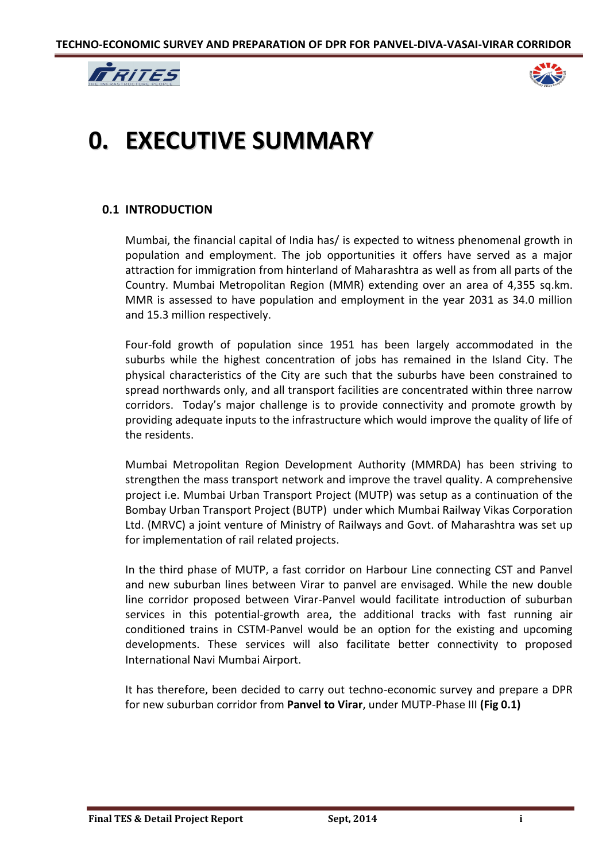



# **0. EXECUTIVE SUMMARY**

# **0.1 INTRODUCTION**

Mumbai, the financial capital of India has/ is expected to witness phenomenal growth in population and employment. The job opportunities it offers have served as a major attraction for immigration from hinterland of Maharashtra as well as from all parts of the Country. Mumbai Metropolitan Region (MMR) extending over an area of 4,355 sq.km. MMR is assessed to have population and employment in the year 2031 as 34.0 million and 15.3 million respectively.

Four-fold growth of population since 1951 has been largely accommodated in the suburbs while the highest concentration of jobs has remained in the Island City. The physical characteristics of the City are such that the suburbs have been constrained to spread northwards only, and all transport facilities are concentrated within three narrow corridors. Today's major challenge is to provide connectivity and promote growth by providing adequate inputs to the infrastructure which would improve the quality of life of the residents.

Mumbai Metropolitan Region Development Authority (MMRDA) has been striving to strengthen the mass transport network and improve the travel quality. A comprehensive project i.e. Mumbai Urban Transport Project (MUTP) was setup as a continuation of the Bombay Urban Transport Project (BUTP) under which Mumbai Railway Vikas Corporation Ltd. (MRVC) a joint venture of Ministry of Railways and Govt. of Maharashtra was set up for implementation of rail related projects.

In the third phase of MUTP, a fast corridor on Harbour Line connecting CST and Panvel and new suburban lines between Virar to panvel are envisaged. While the new double line corridor proposed between Virar-Panvel would facilitate introduction of suburban services in this potential-growth area, the additional tracks with fast running air conditioned trains in CSTM-Panvel would be an option for the existing and upcoming developments. These services will also facilitate better connectivity to proposed International Navi Mumbai Airport.

It has therefore, been decided to carry out techno-economic survey and prepare a DPR for new suburban corridor from **Panvel to Virar**, under MUTP-Phase III **(Fig 0.1)**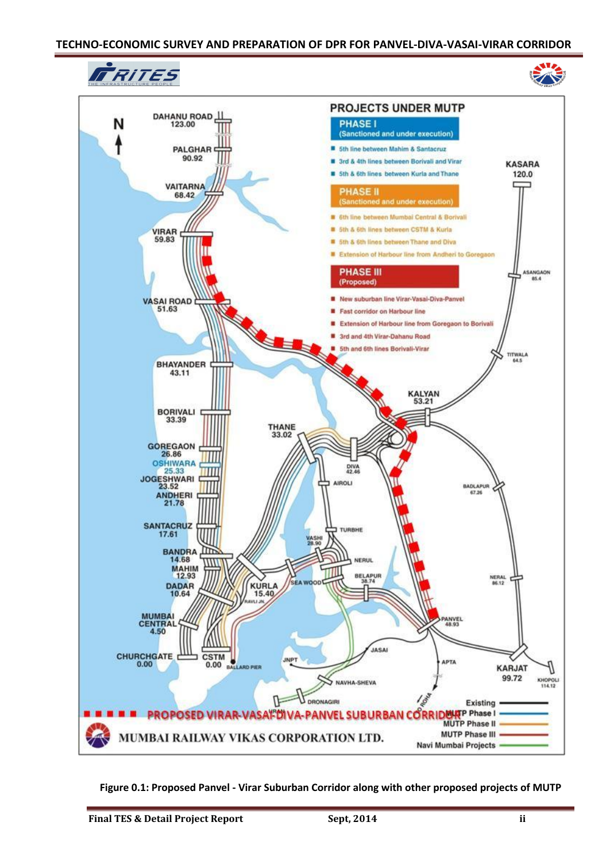## **TECHNO-ECONOMIC SURVEY AND PREPARATION OF DPR FOR PANVEL-DIVA-VASAI-VIRAR CORRIDOR**



**Figure 0.1: Proposed Panvel - Virar Suburban Corridor along with other proposed projects of MUTP**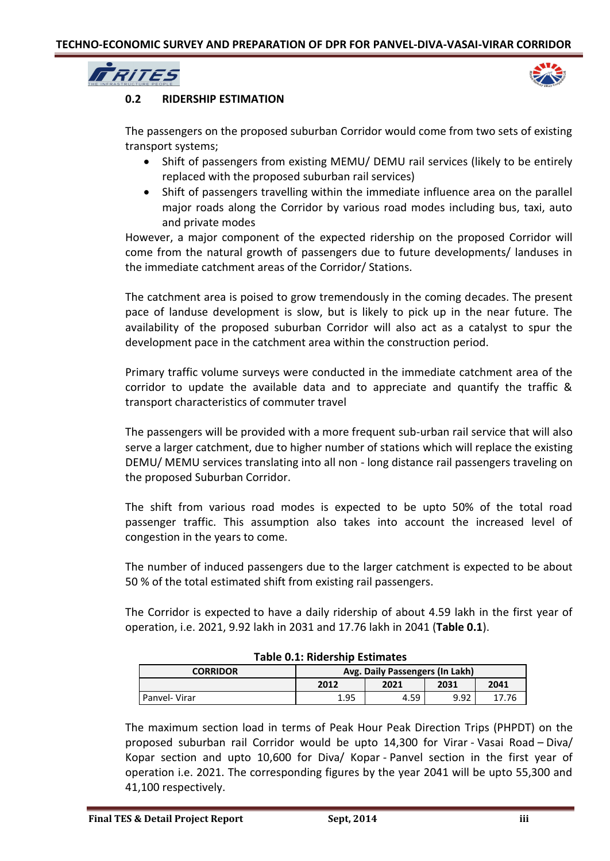



# **0.2 RIDERSHIP ESTIMATION**

The passengers on the proposed suburban Corridor would come from two sets of existing transport systems;

- Shift of passengers from existing MEMU/ DEMU rail services (likely to be entirely replaced with the proposed suburban rail services)
- Shift of passengers travelling within the immediate influence area on the parallel major roads along the Corridor by various road modes including bus, taxi, auto and private modes

However, a major component of the expected ridership on the proposed Corridor will come from the natural growth of passengers due to future developments/ landuses in the immediate catchment areas of the Corridor/ Stations.

The catchment area is poised to grow tremendously in the coming decades. The present pace of landuse development is slow, but is likely to pick up in the near future. The availability of the proposed suburban Corridor will also act as a catalyst to spur the development pace in the catchment area within the construction period.

Primary traffic volume surveys were conducted in the immediate catchment area of the corridor to update the available data and to appreciate and quantify the traffic & transport characteristics of commuter travel

The passengers will be provided with a more frequent sub-urban rail service that will also serve a larger catchment, due to higher number of stations which will replace the existing DEMU/ MEMU services translating into all non - long distance rail passengers traveling on the proposed Suburban Corridor.

The shift from various road modes is expected to be upto 50% of the total road passenger traffic. This assumption also takes into account the increased level of congestion in the years to come.

The number of induced passengers due to the larger catchment is expected to be about 50 % of the total estimated shift from existing rail passengers.

The Corridor is expected to have a daily ridership of about 4.59 lakh in the first year of operation, i.e. 2021, 9.92 lakh in 2031 and 17.76 lakh in 2041 (**Table 0.1**).

| rable 0.1. Muersing Estimates |                                        |      |      |      |  |
|-------------------------------|----------------------------------------|------|------|------|--|
| <b>CORRIDOR</b>               | <b>Avg. Daily Passengers (In Lakh)</b> |      |      |      |  |
|                               | 2012                                   | 2021 | 2031 | 2041 |  |
| Panyel-Virar                  | 1.95                                   | 4.59 | 9.92 | 7.76 |  |

# **Table 0.1: Ridership Estimates**

The maximum section load in terms of Peak Hour Peak Direction Trips (PHPDT) on the proposed suburban rail Corridor would be upto 14,300 for Virar - Vasai Road – Diva/ Kopar section and upto 10,600 for Diva/ Kopar - Panvel section in the first year of operation i.e. 2021. The corresponding figures by the year 2041 will be upto 55,300 and 41,100 respectively.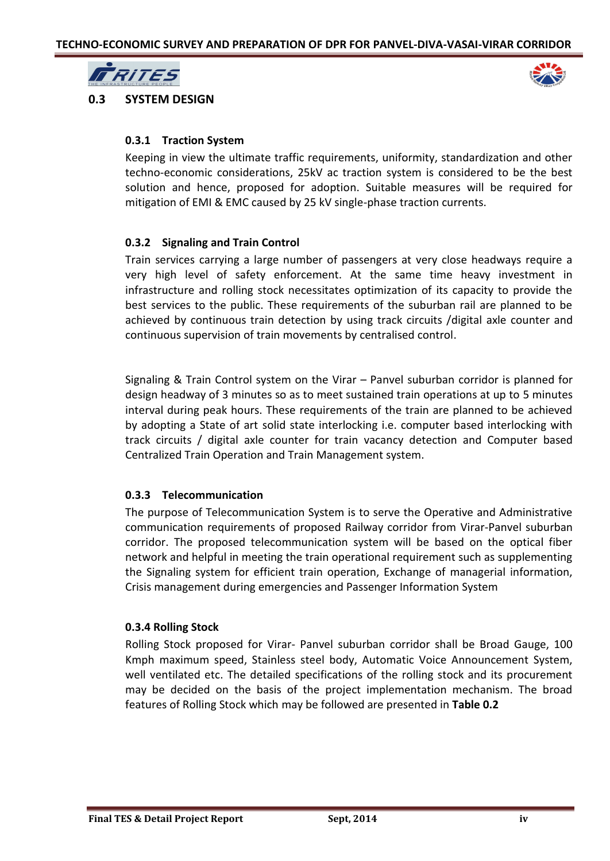



**0.3 SYSTEM DESIGN**

# **0.3.1 Traction System**

Keeping in view the ultimate traffic requirements, uniformity, standardization and other techno-economic considerations, 25kV ac traction system is considered to be the best solution and hence, proposed for adoption. Suitable measures will be required for mitigation of EMI & EMC caused by 25 kV single-phase traction currents.

# **0.3.2 Signaling and Train Control**

Train services carrying a large number of passengers at very close headways require a very high level of safety enforcement. At the same time heavy investment in infrastructure and rolling stock necessitates optimization of its capacity to provide the best services to the public. These requirements of the suburban rail are planned to be achieved by continuous train detection by using track circuits /digital axle counter and continuous supervision of train movements by centralised control.

Signaling & Train Control system on the Virar – Panvel suburban corridor is planned for design headway of 3 minutes so as to meet sustained train operations at up to 5 minutes interval during peak hours. These requirements of the train are planned to be achieved by adopting a State of art solid state interlocking i.e. computer based interlocking with track circuits / digital axle counter for train vacancy detection and Computer based Centralized Train Operation and Train Management system.

# **0.3.3 Telecommunication**

The purpose of Telecommunication System is to serve the Operative and Administrative communication requirements of proposed Railway corridor from Virar-Panvel suburban corridor. The proposed telecommunication system will be based on the optical fiber network and helpful in meeting the train operational requirement such as supplementing the Signaling system for efficient train operation, Exchange of managerial information, Crisis management during emergencies and Passenger Information System

# **0.3.4 Rolling Stock**

Rolling Stock proposed for Virar- Panvel suburban corridor shall be Broad Gauge, 100 Kmph maximum speed, Stainless steel body, Automatic Voice Announcement System, well ventilated etc. The detailed specifications of the rolling stock and its procurement may be decided on the basis of the project implementation mechanism. The broad features of Rolling Stock which may be followed are presented in **Table 0.2**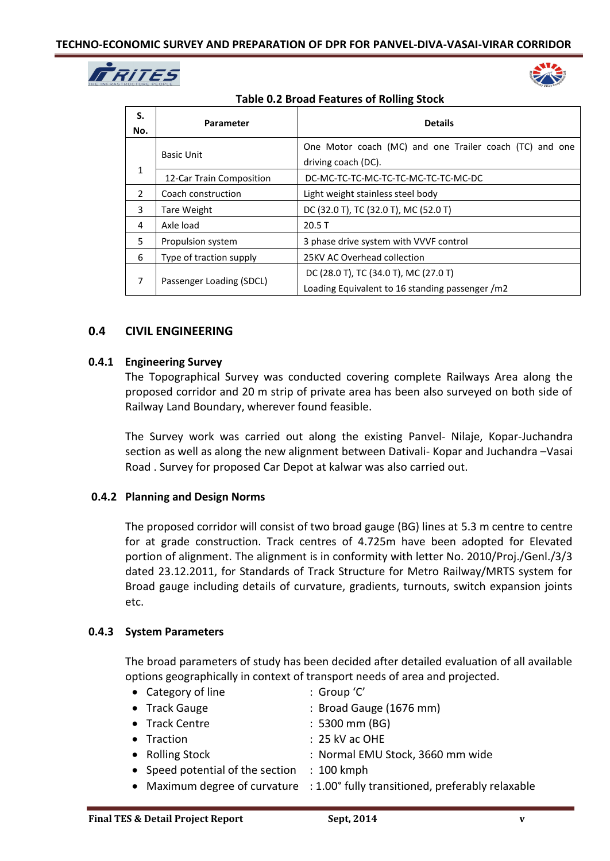



| <b>Table 0.2 Broad Features of Rolling Stock</b> |  |  |
|--------------------------------------------------|--|--|
|--------------------------------------------------|--|--|

| S.<br>No.     | Parameter                | <b>Details</b>                                                                           |  |  |
|---------------|--------------------------|------------------------------------------------------------------------------------------|--|--|
|               | <b>Basic Unit</b>        | One Motor coach (MC) and one Trailer coach (TC) and one<br>driving coach (DC).           |  |  |
| $\mathbf{1}$  | 12-Car Train Composition | DC-MC-TC-TC-MC-TC-TC-MC-TC-TC-MC-DC                                                      |  |  |
| $\mathcal{L}$ | Coach construction       | Light weight stainless steel body                                                        |  |  |
| 3             | Tare Weight              | DC (32.0 T), TC (32.0 T), MC (52.0 T)                                                    |  |  |
| 4             | Axle load<br>20.5T       |                                                                                          |  |  |
| 5             | Propulsion system        | 3 phase drive system with VVVF control                                                   |  |  |
| 6             | Type of traction supply  | 25KV AC Overhead collection                                                              |  |  |
| 7             | Passenger Loading (SDCL) | DC (28.0 T), TC (34.0 T), MC (27.0 T)<br>Loading Equivalent to 16 standing passenger /m2 |  |  |

# **0.4 CIVIL ENGINEERING**

# **0.4.1 Engineering Survey**

The Topographical Survey was conducted covering complete Railways Area along the proposed corridor and 20 m strip of private area has been also surveyed on both side of Railway Land Boundary, wherever found feasible.

The Survey work was carried out along the existing Panvel- Nilaje, Kopar-Juchandra section as well as along the new alignment between Dativali- Kopar and Juchandra –Vasai Road . Survey for proposed Car Depot at kalwar was also carried out.

# **0.4.2 Planning and Design Norms**

The proposed corridor will consist of two broad gauge (BG) lines at 5.3 m centre to centre for at grade construction. Track centres of 4.725m have been adopted for Elevated portion of alignment. The alignment is in conformity with letter No. 2010/Proj./Genl./3/3 dated 23.12.2011, for Standards of Track Structure for Metro Railway/MRTS system for Broad gauge including details of curvature, gradients, turnouts, switch expansion joints etc.

# **0.4.3 System Parameters**

The broad parameters of study has been decided after detailed evaluation of all available options geographically in context of transport needs of area and projected.

| • Category of line                          | : Group 'C'                                                                    |
|---------------------------------------------|--------------------------------------------------------------------------------|
| • Track Gauge                               | : Broad Gauge (1676 mm)                                                        |
| • Track Centre                              | $: 5300$ mm (BG)                                                               |
| • Traction                                  | $: 25$ kV ac OHE                                                               |
| • Rolling Stock                             | : Normal EMU Stock, 3660 mm wide                                               |
| • Speed potential of the section : 100 kmph |                                                                                |
|                                             | • Maximum degree of curvature : 1.00° fully transitioned, preferably relaxable |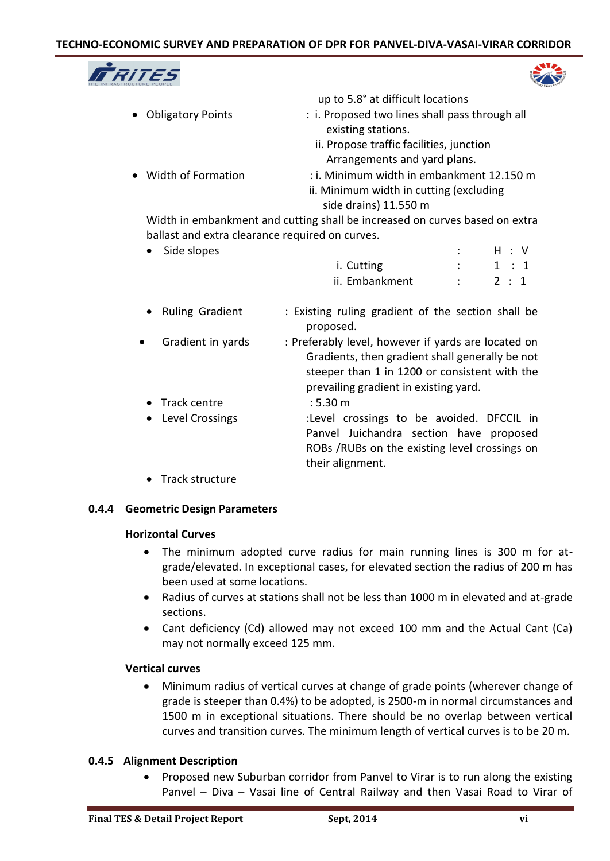# **TECHNO-ECONOMIC SURVEY AND PREPARATION OF DPR FOR PANVEL-DIVA-VASAI-VIRAR CORRIDOR**





|                      | up to 5.8° at difficult locations              |
|----------------------|------------------------------------------------|
| • Obligatory Points  | : i. Proposed two lines shall pass through all |
|                      | existing stations.                             |
|                      | ii. Propose traffic facilities, junction       |
|                      | Arrangements and yard plans.                   |
| • Width of Formation | : i. Minimum width in embankment 12.150 m      |
|                      | ii. Minimum width in cutting (excluding        |
|                      | side drains) 11.550 m                          |

Width in embankment and cutting shall be increased on curves based on extra ballast and extra clearance required on curves.

|           | Side slopes       |                                                                                                                                                         |               | H : V |
|-----------|-------------------|---------------------------------------------------------------------------------------------------------------------------------------------------------|---------------|-------|
|           |                   | i. Cutting                                                                                                                                              | $\mathcal{L}$ | 1:1   |
|           |                   | ii. Embankment                                                                                                                                          |               | 2 : 1 |
|           | • Ruling Gradient | : Existing ruling gradient of the section shall be<br>proposed.                                                                                         |               |       |
| $\bullet$ | Gradient in yards | : Preferably level, however if yards are located on<br>Gradients, then gradient shall generally be not<br>steeper than 1 in 1200 or consistent with the |               |       |

- prevailing gradient in existing yard. Track centre : 5.30 m Level Crossings :Level crossings to be avoided. DFCCIL in Panvel Juichandra section have proposed ROBs /RUBs on the existing level crossings on their alignment.
- Track structure

# **0.4.4 Geometric Design Parameters**

# **Horizontal Curves**

- The minimum adopted curve radius for main running lines is 300 m for atgrade/elevated. In exceptional cases, for elevated section the radius of 200 m has been used at some locations.
- Radius of curves at stations shall not be less than 1000 m in elevated and at-grade sections.
- Cant deficiency (Cd) allowed may not exceed 100 mm and the Actual Cant (Ca) may not normally exceed 125 mm.

# **Vertical curves**

 Minimum radius of vertical curves at change of grade points (wherever change of grade is steeper than 0.4%) to be adopted, is 2500-m in normal circumstances and 1500 m in exceptional situations. There should be no overlap between vertical curves and transition curves. The minimum length of vertical curves is to be 20 m.

# **0.4.5 Alignment Description**

• Proposed new Suburban corridor from Panvel to Virar is to run along the existing Panvel – Diva – Vasai line of Central Railway and then Vasai Road to Virar of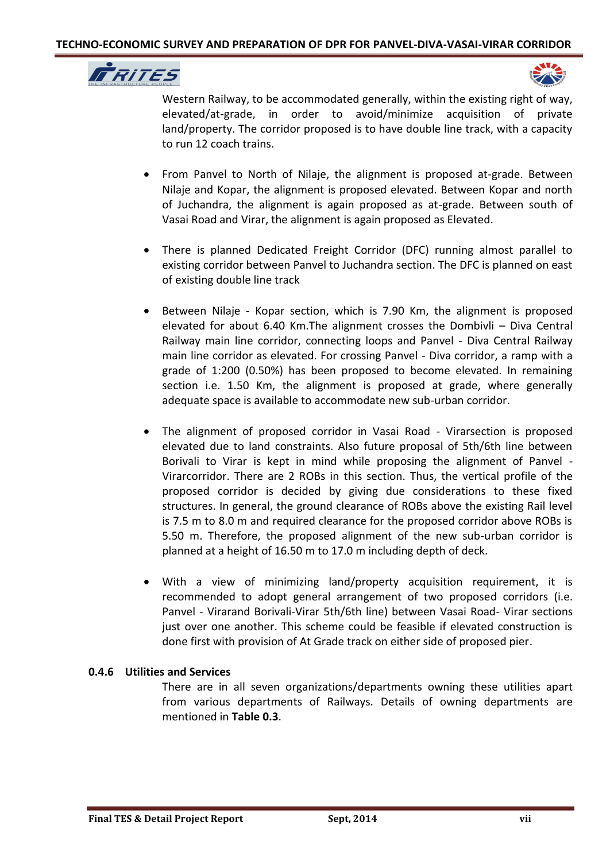



Western Railway, to be accommodated generally, within the existing right of way, elevated/at-grade, in order to avoid/minimize acquisition of private land/property. The corridor proposed is to have double line track, with a capacity to run 12 coach trains.

- From Panvel to North of Nilaje, the alignment is proposed at-grade. Between Nilaje and Kopar, the alignment is proposed elevated. Between Kopar and north of Juchandra, the alignment is again proposed as at-grade. Between south of Vasai Road and Virar, the alignment is again proposed as Elevated.
- There is planned Dedicated Freight Corridor (DFC) running almost parallel to existing corridor between Panvel to Juchandra section. The DFC is planned on east of existing double line track
- Between Nilaje Kopar section, which is 7.90 Km, the alignment is proposed elevated for about 6.40 Km.The alignment crosses the Dombivli – Diva Central Railway main line corridor, connecting loops and Panvel - Diva Central Railway main line corridor as elevated. For crossing Panvel - Diva corridor, a ramp with a grade of 1:200 (0.50%) has been proposed to become elevated. In remaining section i.e. 1.50 Km, the alignment is proposed at grade, where generally adequate space is available to accommodate new sub-urban corridor.
- The alignment of proposed corridor in Vasai Road Virarsection is proposed elevated due to land constraints. Also future proposal of 5th/6th line between Borivali to Virar is kept in mind while proposing the alignment of Panvel - Virarcorridor. There are 2 ROBs in this section. Thus, the vertical profile of the proposed corridor is decided by giving due considerations to these fixed structures. In general, the ground clearance of ROBs above the existing Rail level is 7.5 m to 8.0 m and required clearance for the proposed corridor above ROBs is 5.50 m. Therefore, the proposed alignment of the new sub-urban corridor is planned at a height of 16.50 m to 17.0 m including depth of deck.
- With a view of minimizing land/property acquisition requirement, it is recommended to adopt general arrangement of two proposed corridors (i.e. Panvel - Virarand Borivali-Virar 5th/6th line) between Vasai Road- Virar sections just over one another. This scheme could be feasible if elevated construction is done first with provision of At Grade track on either side of proposed pier.

# **0.4.6 Utilities and Services**

There are in all seven organizations/departments owning these utilities apart from various departments of Railways. Details of owning departments are mentioned in **Table 0.3**.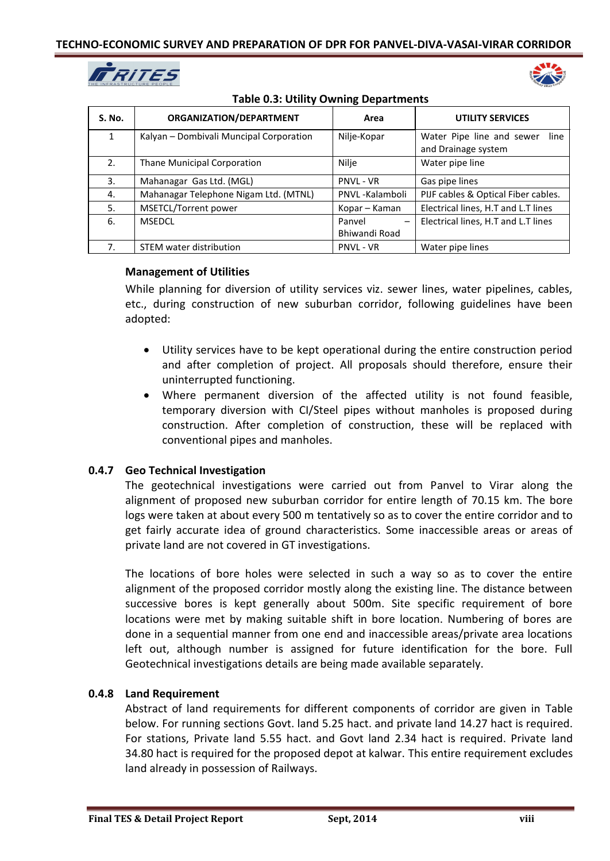



| <b>Table 0.3: Utility Owning Departments</b> |  |  |
|----------------------------------------------|--|--|
|----------------------------------------------|--|--|

| <b>S. No.</b> | ORGANIZATION/DEPARTMENT                 | Area                               | <b>UTILITY SERVICES</b>                                  |
|---------------|-----------------------------------------|------------------------------------|----------------------------------------------------------|
| $\mathbf{1}$  | Kalyan - Dombivali Muncipal Corporation | Nilje-Kopar                        | Water Pipe line and sewer<br>line<br>and Drainage system |
| 2.            | Thane Municipal Corporation             | Nilje                              | Water pipe line                                          |
| 3.            | Mahanagar Gas Ltd. (MGL)                | <b>PNVL - VR</b>                   | Gas pipe lines                                           |
| 4.            | Mahanagar Telephone Nigam Ltd. (MTNL)   | PNVL-Kalamboli                     | PIJF cables & Optical Fiber cables.                      |
| 5.            | MSETCL/Torrent power                    | Kopar – Kaman                      | Electrical lines, H.T and L.T lines                      |
| 6.            | <b>MSEDCL</b>                           | Panvel<br>$\overline{\phantom{0}}$ | Electrical lines, H.T and L.T lines                      |
|               |                                         | Bhiwandi Road                      |                                                          |
| 7.            | STEM water distribution                 | <b>PNVL - VR</b>                   | Water pipe lines                                         |

# **Management of Utilities**

While planning for diversion of utility services viz. sewer lines, water pipelines, cables, etc., during construction of new suburban corridor, following guidelines have been adopted:

- Utility services have to be kept operational during the entire construction period and after completion of project. All proposals should therefore, ensure their uninterrupted functioning.
- Where permanent diversion of the affected utility is not found feasible, temporary diversion with CI/Steel pipes without manholes is proposed during construction. After completion of construction, these will be replaced with conventional pipes and manholes.

# **0.4.7 Geo Technical Investigation**

The geotechnical investigations were carried out from Panvel to Virar along the alignment of proposed new suburban corridor for entire length of 70.15 km. The bore logs were taken at about every 500 m tentatively so as to cover the entire corridor and to get fairly accurate idea of ground characteristics. Some inaccessible areas or areas of private land are not covered in GT investigations.

The locations of bore holes were selected in such a way so as to cover the entire alignment of the proposed corridor mostly along the existing line. The distance between successive bores is kept generally about 500m. Site specific requirement of bore locations were met by making suitable shift in bore location. Numbering of bores are done in a sequential manner from one end and inaccessible areas/private area locations left out, although number is assigned for future identification for the bore. Full Geotechnical investigations details are being made available separately.

# **0.4.8 Land Requirement**

Abstract of land requirements for different components of corridor are given in Table below. For running sections Govt. land 5.25 hact. and private land 14.27 hact is required. For stations, Private land 5.55 hact. and Govt land 2.34 hact is required. Private land 34.80 hact is required for the proposed depot at kalwar. This entire requirement excludes land already in possession of Railways.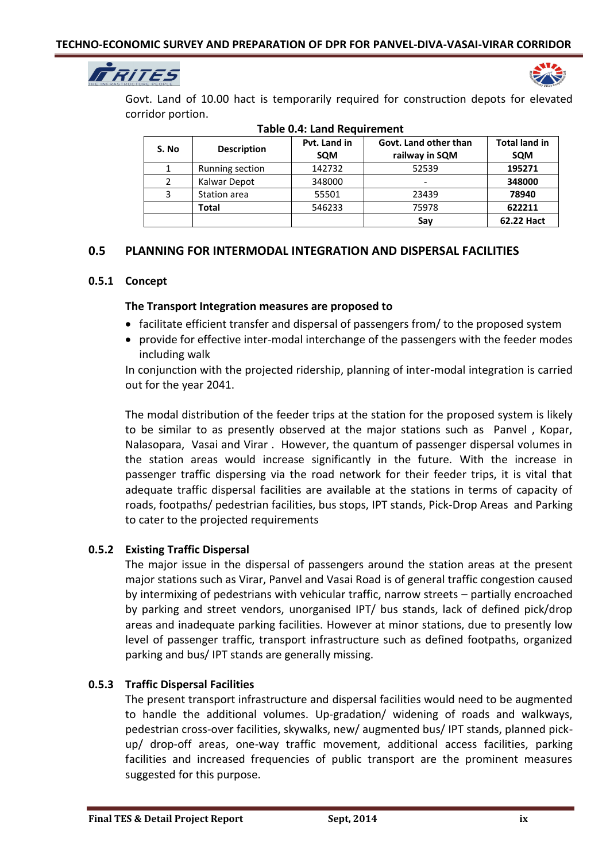



Govt. Land of 10.00 hact is temporarily required for construction depots for elevated corridor portion.

| יישטוכ טידי במווט ווכטטווכוווכוונ |                    |                            |                                         |                                    |  |
|-----------------------------------|--------------------|----------------------------|-----------------------------------------|------------------------------------|--|
| S. No                             | <b>Description</b> | Pvt. Land in<br><b>SQM</b> | Govt. Land other than<br>railway in SQM | <b>Total land in</b><br><b>SQM</b> |  |
| 1                                 | Running section    | 142732                     | 52539                                   | 195271                             |  |
| 2                                 | Kalwar Depot       | 348000                     | -                                       | 348000                             |  |
| 3                                 | Station area       | 55501                      | 23439                                   | 78940                              |  |
|                                   | Total              | 546233                     | 75978                                   | 622211                             |  |
|                                   |                    |                            | Sav                                     | 62.22 Hact                         |  |

| <b>Table 0.4: Land Requirement</b> |  |
|------------------------------------|--|
|------------------------------------|--|

# **0.5 PLANNING FOR INTERMODAL INTEGRATION AND DISPERSAL FACILITIES**

## **0.5.1 Concept**

## **The Transport Integration measures are proposed to**

- facilitate efficient transfer and dispersal of passengers from/ to the proposed system
- provide for effective inter-modal interchange of the passengers with the feeder modes including walk

In conjunction with the projected ridership, planning of inter-modal integration is carried out for the year 2041.

The modal distribution of the feeder trips at the station for the proposed system is likely to be similar to as presently observed at the major stations such as Panvel , Kopar, Nalasopara, Vasai and Virar . However, the quantum of passenger dispersal volumes in the station areas would increase significantly in the future. With the increase in passenger traffic dispersing via the road network for their feeder trips, it is vital that adequate traffic dispersal facilities are available at the stations in terms of capacity of roads, footpaths/ pedestrian facilities, bus stops, IPT stands, Pick-Drop Areas and Parking to cater to the projected requirements

# **0.5.2 Existing Traffic Dispersal**

The major issue in the dispersal of passengers around the station areas at the present major stations such as Virar, Panvel and Vasai Road is of general traffic congestion caused by intermixing of pedestrians with vehicular traffic, narrow streets – partially encroached by parking and street vendors, unorganised IPT/ bus stands, lack of defined pick/drop areas and inadequate parking facilities. However at minor stations, due to presently low level of passenger traffic, transport infrastructure such as defined footpaths, organized parking and bus/ IPT stands are generally missing.

# **0.5.3 Traffic Dispersal Facilities**

The present transport infrastructure and dispersal facilities would need to be augmented to handle the additional volumes. Up-gradation/ widening of roads and walkways, pedestrian cross-over facilities, skywalks, new/ augmented bus/ IPT stands, planned pickup/ drop-off areas, one-way traffic movement, additional access facilities, parking facilities and increased frequencies of public transport are the prominent measures suggested for this purpose.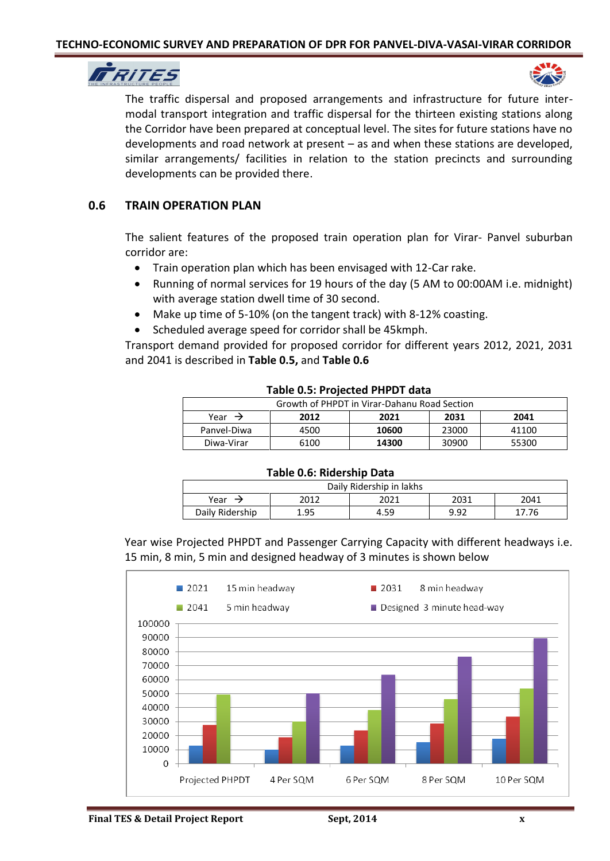



The traffic dispersal and proposed arrangements and infrastructure for future intermodal transport integration and traffic dispersal for the thirteen existing stations along the Corridor have been prepared at conceptual level. The sites for future stations have no developments and road network at present – as and when these stations are developed, similar arrangements/ facilities in relation to the station precincts and surrounding developments can be provided there.

# **0.6 TRAIN OPERATION PLAN**

The salient features of the proposed train operation plan for Virar- Panvel suburban corridor are:

- Train operation plan which has been envisaged with 12-Car rake.
- Running of normal services for 19 hours of the day (5 AM to 00:00AM i.e. midnight) with average station dwell time of 30 second.
- Make up time of 5-10% (on the tangent track) with 8-12% coasting.
- Scheduled average speed for corridor shall be 45kmph.

Transport demand provided for proposed corridor for different years 2012, 2021, 2031 and 2041 is described in **Table 0.5,** and **Table 0.6** 

| 1891 - 1919 - 1919 - 1919 - 1919 - 1920      |      |       |       |       |
|----------------------------------------------|------|-------|-------|-------|
| Growth of PHPDT in Virar-Dahanu Road Section |      |       |       |       |
| Year $\rightarrow$                           | 2012 | 2021  | 2031  | 2041  |
| Panvel-Diwa                                  | 4500 | 10600 | 23000 | 41100 |
| Diwa-Virar                                   | 6100 | 14300 | 30900 | 55300 |

#### **Table 0.5: Projected PHPDT data**

#### **Table 0.6: Ridership Data**

| Daily Ridership in lakhs             |      |      |      |     |  |
|--------------------------------------|------|------|------|-----|--|
| 2031<br>2041<br>2012<br>Year<br>2021 |      |      |      |     |  |
| Daily Ridership                      | 1.95 | 4.59 | 9.92 | .76 |  |

Year wise Projected PHPDT and Passenger Carrying Capacity with different headways i.e. 15 min, 8 min, 5 min and designed headway of 3 minutes is shown below

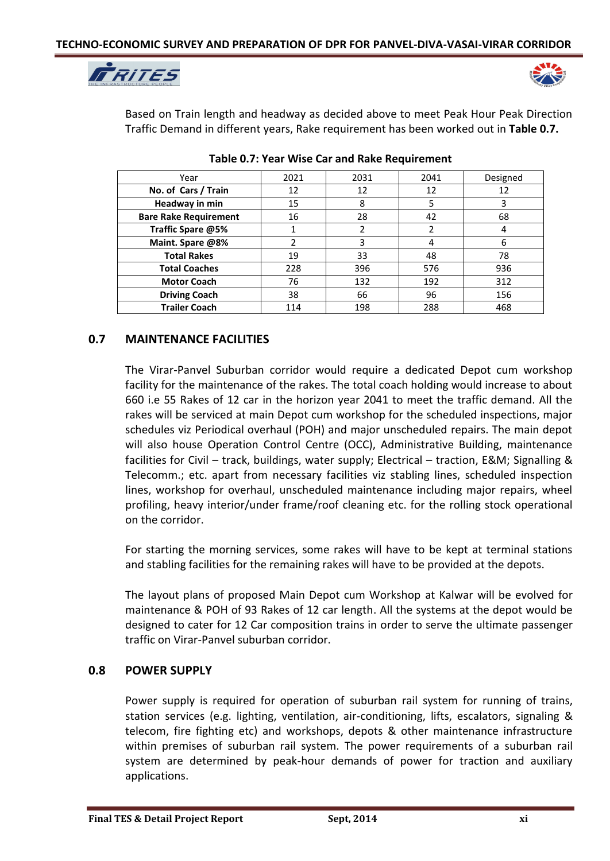



Based on Train length and headway as decided above to meet Peak Hour Peak Direction Traffic Demand in different years, Rake requirement has been worked out in **Table 0.7.**

| Year                         | 2021 | 2031 | 2041 | Designed |
|------------------------------|------|------|------|----------|
| No. of Cars / Train          | 12   | 12   | 12   | 12       |
| Headway in min               | 15   | 8    | 5    | 3        |
| <b>Bare Rake Requirement</b> | 16   | 28   | 42   | 68       |
| Traffic Spare @5%            |      |      |      |          |
| Maint. Spare @8%             |      | 3    |      | 6        |
| <b>Total Rakes</b>           | 19   | 33   | 48   | 78       |
| <b>Total Coaches</b>         | 228  | 396  | 576  | 936      |
| <b>Motor Coach</b>           | 76   | 132  | 192  | 312      |
| <b>Driving Coach</b>         | 38   | 66   | 96   | 156      |
| <b>Trailer Coach</b>         | 114  | 198  | 288  | 468      |

**Table 0.7: Year Wise Car and Rake Requirement**

# **0.7 MAINTENANCE FACILITIES**

The Virar-Panvel Suburban corridor would require a dedicated Depot cum workshop facility for the maintenance of the rakes. The total coach holding would increase to about 660 i.e 55 Rakes of 12 car in the horizon year 2041 to meet the traffic demand. All the rakes will be serviced at main Depot cum workshop for the scheduled inspections, major schedules viz Periodical overhaul (POH) and major unscheduled repairs. The main depot will also house Operation Control Centre (OCC), Administrative Building, maintenance facilities for Civil – track, buildings, water supply; Electrical – traction, E&M; Signalling & Telecomm.; etc. apart from necessary facilities viz stabling lines, scheduled inspection lines, workshop for overhaul, unscheduled maintenance including major repairs, wheel profiling, heavy interior/under frame/roof cleaning etc. for the rolling stock operational on the corridor.

For starting the morning services, some rakes will have to be kept at terminal stations and stabling facilities for the remaining rakes will have to be provided at the depots.

The layout plans of proposed Main Depot cum Workshop at Kalwar will be evolved for maintenance & POH of 93 Rakes of 12 car length. All the systems at the depot would be designed to cater for 12 Car composition trains in order to serve the ultimate passenger traffic on Virar-Panvel suburban corridor.

# **0.8 POWER SUPPLY**

Power supply is required for operation of suburban rail system for running of trains, station services (e.g. lighting, ventilation, air-conditioning, lifts, escalators, signaling & telecom, fire fighting etc) and workshops, depots & other maintenance infrastructure within premises of suburban rail system. The power requirements of a suburban rail system are determined by peak-hour demands of power for traction and auxiliary applications.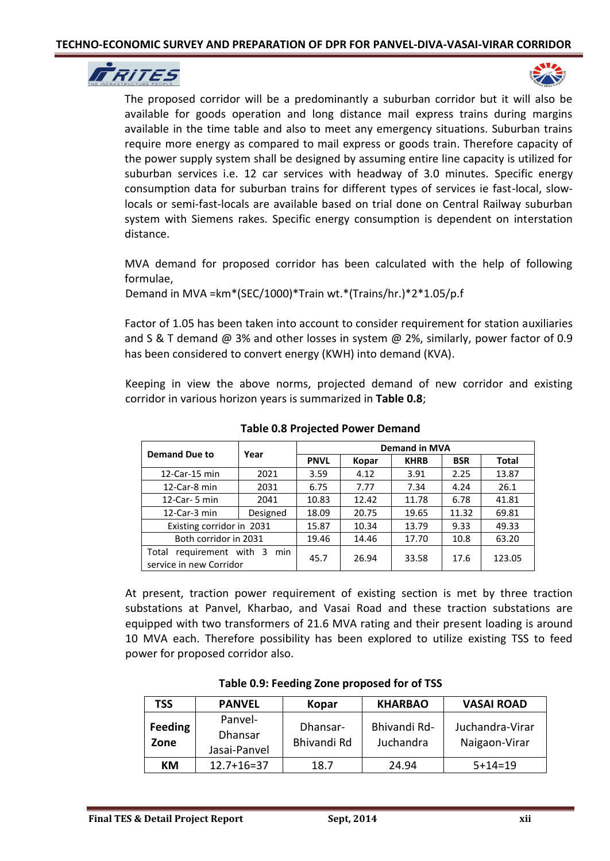



The proposed corridor will be a predominantly a suburban corridor but it will also be available for goods operation and long distance mail express trains during margins available in the time table and also to meet any emergency situations. Suburban trains require more energy as compared to mail express or goods train. Therefore capacity of the power supply system shall be designed by assuming entire line capacity is utilized for suburban services i.e. 12 car services with headway of 3.0 minutes. Specific energy consumption data for suburban trains for different types of services ie fast-local, slowlocals or semi-fast-locals are available based on trial done on Central Railway suburban system with Siemens rakes. Specific energy consumption is dependent on interstation distance.

MVA demand for proposed corridor has been calculated with the help of following formulae,

Demand in MVA =km\*(SEC/1000)\*Train wt.\*(Trains/hr.)\*2\*1.05/p.f

Factor of 1.05 has been taken into account to consider requirement for station auxiliaries and S & T demand @ 3% and other losses in system @ 2%, similarly, power factor of 0.9 has been considered to convert energy (KWH) into demand (KVA).

Keeping in view the above norms, projected demand of new corridor and existing corridor in various horizon years is summarized in **Table 0.8**;

| <b>Demand Due to</b>                                          | Year     | <b>Demand in MVA</b> |       |             |            |              |  |
|---------------------------------------------------------------|----------|----------------------|-------|-------------|------------|--------------|--|
|                                                               |          | <b>PNVL</b>          | Kopar | <b>KHRB</b> | <b>BSR</b> | <b>Total</b> |  |
| 12-Car-15 min                                                 | 2021     | 3.59                 | 4.12  | 3.91        | 2.25       | 13.87        |  |
| 12-Car-8 min                                                  | 2031     | 6.75                 | 7.77  | 7.34        | 4.24       | 26.1         |  |
| 12-Car- $5$ min                                               | 2041     | 10.83                | 12.42 | 11.78       | 6.78       | 41.81        |  |
| 12-Car-3 min                                                  | Designed | 18.09                | 20.75 | 19.65       | 11.32      | 69.81        |  |
| Existing corridor in 2031                                     |          | 15.87                | 10.34 | 13.79       | 9.33       | 49.33        |  |
| Both corridor in 2031                                         |          | 19.46                | 14.46 | 17.70       | 10.8       | 63.20        |  |
| requirement with 3<br>min<br>Total<br>service in new Corridor |          | 45.7                 | 26.94 | 33.58       | 17.6       | 123.05       |  |

**Table 0.8 Projected Power Demand**

At present, traction power requirement of existing section is met by three traction substations at Panvel, Kharbao, and Vasai Road and these traction substations are equipped with two transformers of 21.6 MVA rating and their present loading is around 10 MVA each. Therefore possibility has been explored to utilize existing TSS to feed power for proposed corridor also.

| <b>TSS</b>             | <b>PANVEL</b>                      | Kopar                   | <b>KHARBAO</b>            | <b>VASAI ROAD</b>                |
|------------------------|------------------------------------|-------------------------|---------------------------|----------------------------------|
| <b>Feeding</b><br>Zone | Panvel-<br>Dhansar<br>Jasai-Panvel | Dhansar-<br>Bhivandi Rd | Bhivandi Rd-<br>Juchandra | Juchandra-Virar<br>Naigaon-Virar |
| КM                     | $12.7 + 16 = 37$                   | 18.7                    | 24.94                     | $5+14=19$                        |

**Table 0.9: Feeding Zone proposed for of TSS**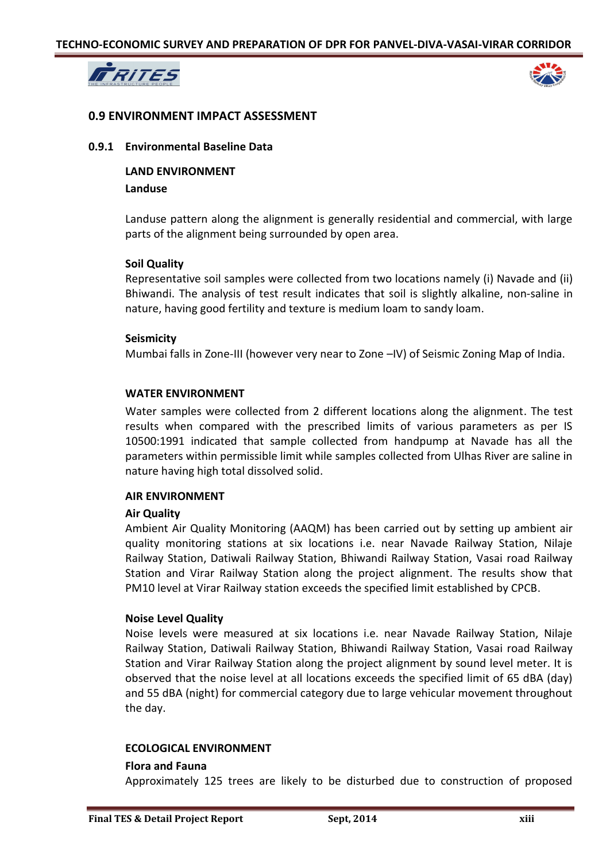



## **0.9 ENVIRONMENT IMPACT ASSESSMENT**

## **0.9.1 Environmental Baseline Data**

**LAND ENVIRONMENT Landuse**

Landuse pattern along the alignment is generally residential and commercial, with large parts of the alignment being surrounded by open area.

## **Soil Quality**

Representative soil samples were collected from two locations namely (i) Navade and (ii) Bhiwandi. The analysis of test result indicates that soil is slightly alkaline, non-saline in nature, having good fertility and texture is medium loam to sandy loam.

## **Seismicity**

Mumbai falls in Zone-III (however very near to Zone –IV) of Seismic Zoning Map of India.

## **WATER ENVIRONMENT**

Water samples were collected from 2 different locations along the alignment. The test results when compared with the prescribed limits of various parameters as per IS 10500:1991 indicated that sample collected from handpump at Navade has all the parameters within permissible limit while samples collected from Ulhas River are saline in nature having high total dissolved solid.

#### **AIR ENVIRONMENT**

#### **Air Quality**

Ambient Air Quality Monitoring (AAQM) has been carried out by setting up ambient air quality monitoring stations at six locations i.e. near Navade Railway Station, Nilaje Railway Station, Datiwali Railway Station, Bhiwandi Railway Station, Vasai road Railway Station and Virar Railway Station along the project alignment. The results show that PM10 level at Virar Railway station exceeds the specified limit established by CPCB.

#### **Noise Level Quality**

Noise levels were measured at six locations i.e. near Navade Railway Station, Nilaje Railway Station, Datiwali Railway Station, Bhiwandi Railway Station, Vasai road Railway Station and Virar Railway Station along the project alignment by sound level meter. It is observed that the noise level at all locations exceeds the specified limit of 65 dBA (day) and 55 dBA (night) for commercial category due to large vehicular movement throughout the day.

### **ECOLOGICAL ENVIRONMENT**

#### **Flora and Fauna**

Approximately 125 trees are likely to be disturbed due to construction of proposed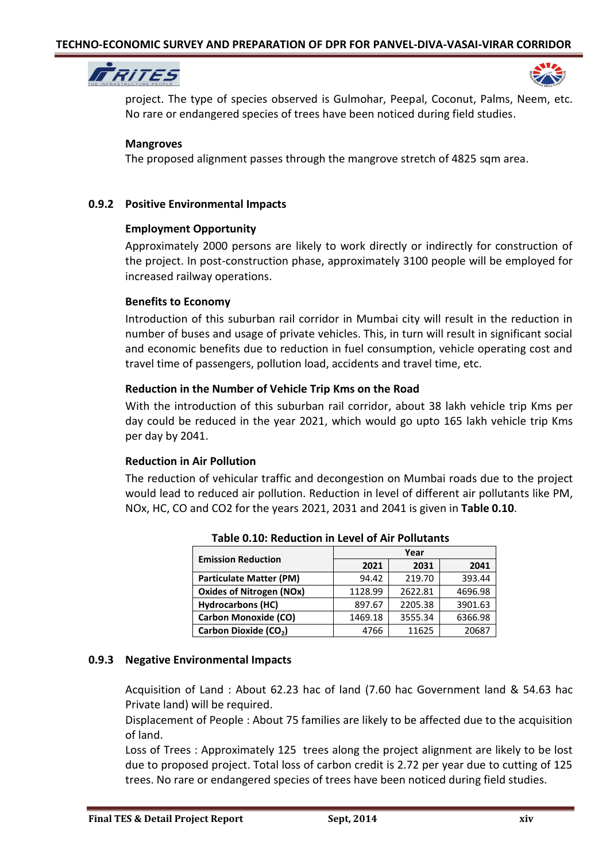



project. The type of species observed is Gulmohar, Peepal, Coconut, Palms, Neem, etc. No rare or endangered species of trees have been noticed during field studies.

## **Mangroves**

The proposed alignment passes through the mangrove stretch of 4825 sqm area.

## **0.9.2 Positive Environmental Impacts**

## **Employment Opportunity**

Approximately 2000 persons are likely to work directly or indirectly for construction of the project. In post-construction phase, approximately 3100 people will be employed for increased railway operations.

## **Benefits to Economy**

Introduction of this suburban rail corridor in Mumbai city will result in the reduction in number of buses and usage of private vehicles. This, in turn will result in significant social and economic benefits due to reduction in fuel consumption, vehicle operating cost and travel time of passengers, pollution load, accidents and travel time, etc.

## **Reduction in the Number of Vehicle Trip Kms on the Road**

With the introduction of this suburban rail corridor, about 38 lakh vehicle trip Kms per day could be reduced in the year 2021, which would go upto 165 lakh vehicle trip Kms per day by 2041.

# **Reduction in Air Pollution**

The reduction of vehicular traffic and decongestion on Mumbai roads due to the project would lead to reduced air pollution. Reduction in level of different air pollutants like PM, NOx, HC, CO and CO2 for the years 2021, 2031 and 2041 is given in **Table 0.10**.

| <b>Emission Reduction</b>         | Year    |         |         |  |  |
|-----------------------------------|---------|---------|---------|--|--|
|                                   | 2021    | 2031    | 2041    |  |  |
| <b>Particulate Matter (PM)</b>    | 94.42   | 219.70  | 393.44  |  |  |
| <b>Oxides of Nitrogen (NOx)</b>   | 1128.99 | 2622.81 | 4696.98 |  |  |
| <b>Hydrocarbons (HC)</b>          | 897.67  | 2205.38 | 3901.63 |  |  |
| <b>Carbon Monoxide (CO)</b>       | 1469.18 | 3555.34 | 6366.98 |  |  |
| Carbon Dioxide (CO <sub>2</sub> ) | 4766    | 11625   | 20687   |  |  |

**Table 0.10: Reduction in Level of Air Pollutants**

# **0.9.3 Negative Environmental Impacts**

Acquisition of Land : About 62.23 hac of land (7.60 hac Government land & 54.63 hac Private land) will be required.

Displacement of People : About 75 families are likely to be affected due to the acquisition of land.

Loss of Trees : Approximately 125 trees along the project alignment are likely to be lost due to proposed project. Total loss of carbon credit is 2.72 per year due to cutting of 125 trees. No rare or endangered species of trees have been noticed during field studies.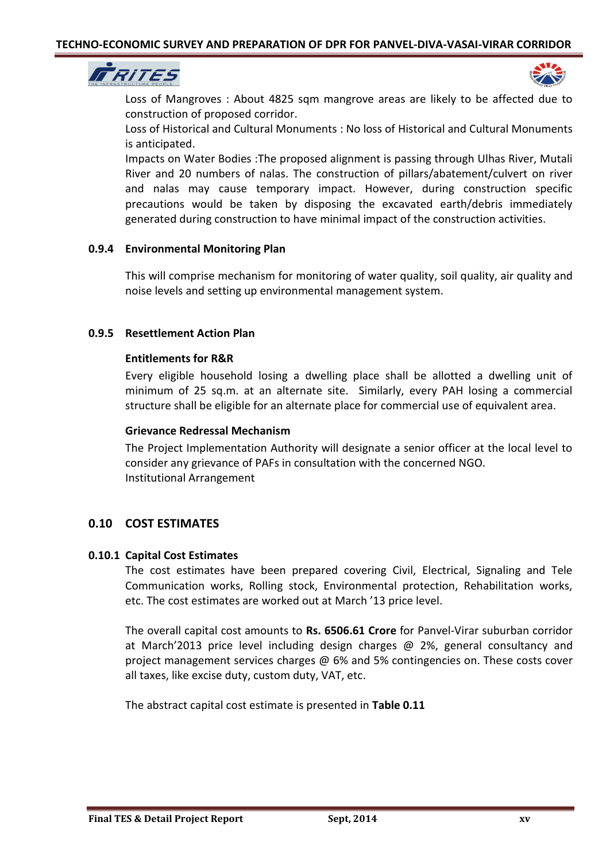



Loss of Mangroves : About 4825 sqm mangrove areas are likely to be affected due to construction of proposed corridor.

Loss of Historical and Cultural Monuments : No loss of Historical and Cultural Monuments is anticipated.

Impacts on Water Bodies :The proposed alignment is passing through Ulhas River, Mutali River and 20 numbers of nalas. The construction of pillars/abatement/culvert on river and nalas may cause temporary impact. However, during construction specific precautions would be taken by disposing the excavated earth/debris immediately generated during construction to have minimal impact of the construction activities.

# **0.9.4 Environmental Monitoring Plan**

This will comprise mechanism for monitoring of water quality, soil quality, air quality and noise levels and setting up environmental management system.

## **0.9.5 Resettlement Action Plan**

## **Entitlements for R&R**

Every eligible household losing a dwelling place shall be allotted a dwelling unit of minimum of 25 sq.m. at an alternate site. Similarly, every PAH losing a commercial structure shall be eligible for an alternate place for commercial use of equivalent area.

#### **Grievance Redressal Mechanism**

The Project Implementation Authority will designate a senior officer at the local level to consider any grievance of PAFs in consultation with the concerned NGO. Institutional Arrangement

# **0.10 COST ESTIMATES**

# **0.10.1 Capital Cost Estimates**

The cost estimates have been prepared covering Civil, Electrical, Signaling and Tele Communication works, Rolling stock, Environmental protection, Rehabilitation works, etc. The cost estimates are worked out at March '13 price level.

The overall capital cost amounts to **Rs. 6506.61 Crore** for Panvel-Virar suburban corridor at March'2013 price level including design charges @ 2%, general consultancy and project management services charges @ 6% and 5% contingencies on. These costs cover all taxes, like excise duty, custom duty, VAT, etc.

The abstract capital cost estimate is presented in **Table 0.11**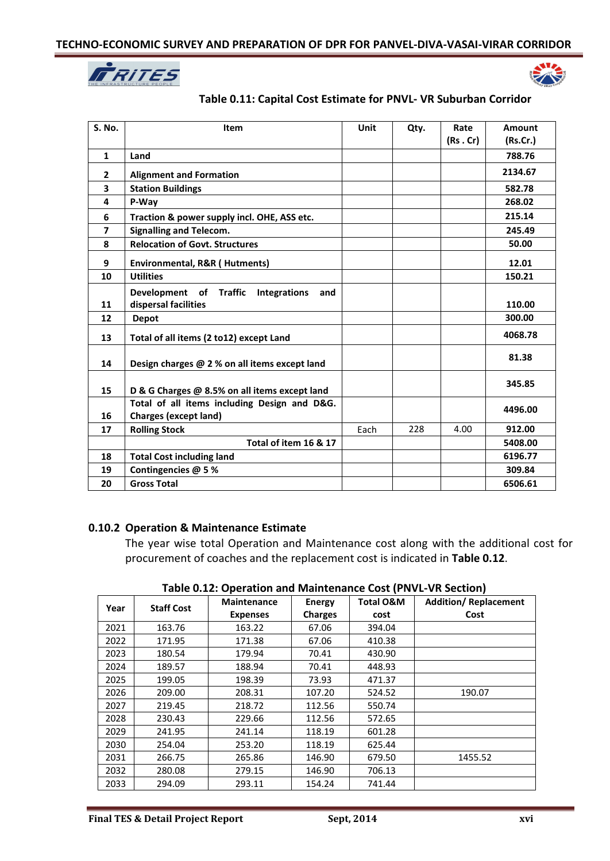



# **Table 0.11: Capital Cost Estimate for PNVL- VR Suburban Corridor**

| S. No.                   | Item                                                 | Unit | Qty. | Rate    | <b>Amount</b> |
|--------------------------|------------------------------------------------------|------|------|---------|---------------|
|                          |                                                      |      |      | (Rs.Cr) | (Rs.Cr.)      |
| $\mathbf{1}$             | Land                                                 |      |      |         | 788.76        |
| $\mathbf{2}$             | <b>Alignment and Formation</b>                       |      |      |         | 2134.67       |
| $\overline{\mathbf{3}}$  | <b>Station Buildings</b>                             |      |      |         | 582.78        |
| 4                        | P-Way                                                |      |      |         | 268.02        |
| 6                        | Traction & power supply incl. OHE, ASS etc.          |      |      |         | 215.14        |
| $\overline{\phantom{a}}$ | <b>Signalling and Telecom.</b>                       |      |      |         | 245.49        |
| 8                        | <b>Relocation of Govt. Structures</b>                |      |      |         | 50.00         |
| 9                        | Environmental, R&R (Hutments)                        |      |      |         | 12.01         |
| 10                       | <b>Utilities</b>                                     |      |      |         | 150.21        |
|                          | Development of Traffic<br><b>Integrations</b><br>and |      |      |         |               |
| 11                       | dispersal facilities                                 |      |      |         | 110.00        |
| 12                       | <b>Depot</b>                                         |      |      |         | 300.00        |
| 13                       | Total of all items (2 to12) except Land              |      |      |         | 4068.78       |
| 14                       | Design charges @ 2 % on all items except land        |      |      |         | 81.38         |
| 15                       | D & G Charges @ 8.5% on all items except land        |      |      |         | 345.85        |
|                          | Total of all items including Design and D&G.         |      |      |         | 4496.00       |
| 16                       | <b>Charges (except land)</b>                         |      |      |         |               |
| 17                       | <b>Rolling Stock</b>                                 | Each | 228  | 4.00    | 912.00        |
|                          | Total of item 16 & 17                                |      |      |         | 5408.00       |
| 18                       | <b>Total Cost including land</b>                     |      |      |         | 6196.77       |
| 19                       | Contingencies @ 5%                                   |      |      |         | 309.84        |
| 20                       | <b>Gross Total</b>                                   |      |      |         | 6506.61       |

#### **0.10.2 Operation & Maintenance Estimate**

The year wise total Operation and Maintenance cost along with the additional cost for procurement of coaches and the replacement cost is indicated in **Table 0.12**.

| Year | <b>Staff Cost</b> | <b>Maintenance</b><br><b>Expenses</b> | <b>Energy</b><br><b>Charges</b> | <b>Total O&amp;M</b><br>cost | <b>Addition/ Replacement</b><br>Cost |
|------|-------------------|---------------------------------------|---------------------------------|------------------------------|--------------------------------------|
| 2021 | 163.76            | 163.22                                | 67.06                           | 394.04                       |                                      |
| 2022 | 171.95            | 171.38                                | 67.06                           | 410.38                       |                                      |
| 2023 | 180.54            | 179.94                                | 70.41                           | 430.90                       |                                      |
| 2024 | 189.57            | 188.94                                | 70.41                           | 448.93                       |                                      |
| 2025 | 199.05            | 198.39                                | 73.93                           | 471.37                       |                                      |
| 2026 | 209.00            | 208.31                                | 107.20                          | 524.52                       | 190.07                               |
| 2027 | 219.45            | 218.72                                | 112.56                          | 550.74                       |                                      |
| 2028 | 230.43            | 229.66                                | 112.56                          | 572.65                       |                                      |
| 2029 | 241.95            | 241.14                                | 118.19                          | 601.28                       |                                      |
| 2030 | 254.04            | 253.20                                | 118.19                          | 625.44                       |                                      |
| 2031 | 266.75            | 265.86                                | 146.90                          | 679.50                       | 1455.52                              |
| 2032 | 280.08            | 279.15                                | 146.90                          | 706.13                       |                                      |
| 2033 | 294.09            | 293.11                                | 154.24                          | 741.44                       |                                      |

**Table 0.12: Operation and Maintenance Cost (PNVL-VR Section)**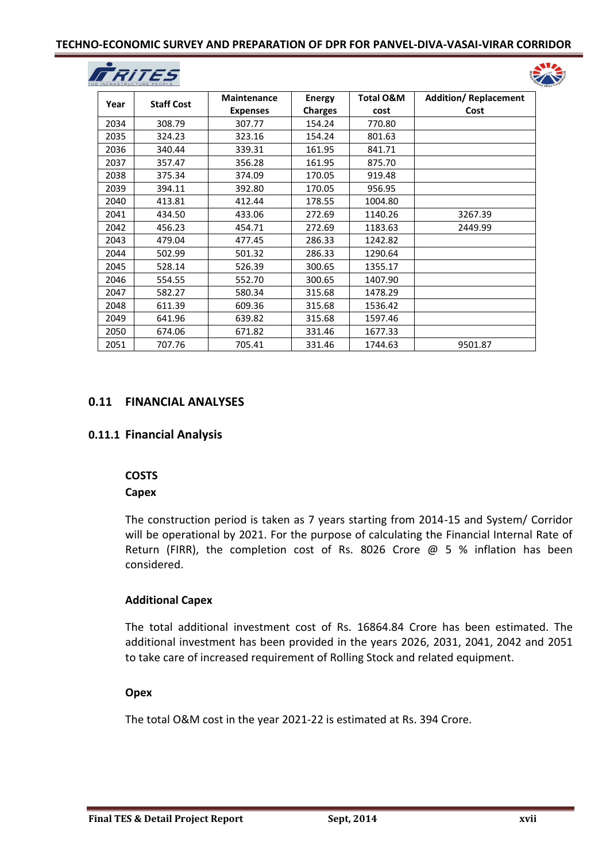## **TECHNO-ECONOMIC SURVEY AND PREPARATION OF DPR FOR PANVEL-DIVA-VASAI-VIRAR CORRIDOR**





| Year | <b>Staff Cost</b> | <b>Maintenance</b> | <b>Energy</b>  | <b>Total O&amp;M</b> | <b>Addition/ Replacement</b> |
|------|-------------------|--------------------|----------------|----------------------|------------------------------|
|      |                   | <b>Expenses</b>    | <b>Charges</b> | cost                 | Cost                         |
| 2034 | 308.79            | 307.77             | 154.24         | 770.80               |                              |
| 2035 | 324.23            | 323.16             | 154.24         | 801.63               |                              |
| 2036 | 340.44            | 339.31             | 161.95         | 841.71               |                              |
| 2037 | 357.47            | 356.28             | 161.95         | 875.70               |                              |
| 2038 | 375.34            | 374.09             | 170.05         | 919.48               |                              |
| 2039 | 394.11            | 392.80             | 170.05         | 956.95               |                              |
| 2040 | 413.81            | 412.44             | 178.55         | 1004.80              |                              |
| 2041 | 434.50            | 433.06             | 272.69         | 1140.26              | 3267.39                      |
| 2042 | 456.23            | 454.71             | 272.69         | 1183.63              | 2449.99                      |
| 2043 | 479.04            | 477.45             | 286.33         | 1242.82              |                              |
| 2044 | 502.99            | 501.32             | 286.33         | 1290.64              |                              |
| 2045 | 528.14            | 526.39             | 300.65         | 1355.17              |                              |
| 2046 | 554.55            | 552.70             | 300.65         | 1407.90              |                              |
| 2047 | 582.27            | 580.34             | 315.68         | 1478.29              |                              |
| 2048 | 611.39            | 609.36             | 315.68         | 1536.42              |                              |
| 2049 | 641.96            | 639.82             | 315.68         | 1597.46              |                              |
| 2050 | 674.06            | 671.82             | 331.46         | 1677.33              |                              |
| 2051 | 707.76            | 705.41             | 331.46         | 1744.63              | 9501.87                      |

# **0.11 FINANCIAL ANALYSES**

# **0.11.1 Financial Analysis**

#### **COSTS**

# **Capex**

The construction period is taken as 7 years starting from 2014-15 and System/ Corridor will be operational by 2021. For the purpose of calculating the Financial Internal Rate of Return (FIRR), the completion cost of Rs. 8026 Crore @ 5 % inflation has been considered.

# **Additional Capex**

The total additional investment cost of Rs. 16864.84 Crore has been estimated. The additional investment has been provided in the years 2026, 2031, 2041, 2042 and 2051 to take care of increased requirement of Rolling Stock and related equipment.

# **Opex**

The total O&M cost in the year 2021-22 is estimated at Rs. 394 Crore.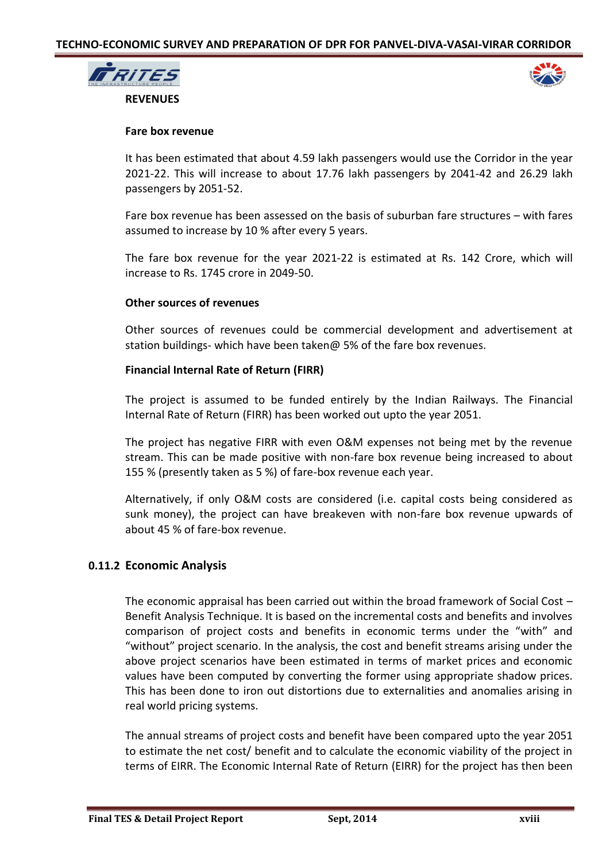



#### **Fare box revenue**

It has been estimated that about 4.59 lakh passengers would use the Corridor in the year 2021-22. This will increase to about 17.76 lakh passengers by 2041-42 and 26.29 lakh passengers by 2051-52.

Fare box revenue has been assessed on the basis of suburban fare structures – with fares assumed to increase by 10 % after every 5 years.

The fare box revenue for the year 2021-22 is estimated at Rs. 142 Crore, which will increase to Rs. 1745 crore in 2049-50.

## **Other sources of revenues**

Other sources of revenues could be commercial development and advertisement at station buildings- which have been taken@ 5% of the fare box revenues.

# **Financial Internal Rate of Return (FIRR)**

The project is assumed to be funded entirely by the Indian Railways. The Financial Internal Rate of Return (FIRR) has been worked out upto the year 2051.

The project has negative FIRR with even O&M expenses not being met by the revenue stream. This can be made positive with non-fare box revenue being increased to about 155 % (presently taken as 5 %) of fare-box revenue each year.

Alternatively, if only O&M costs are considered (i.e. capital costs being considered as sunk money), the project can have breakeven with non-fare box revenue upwards of about 45 % of fare-box revenue.

# **0.11.2 Economic Analysis**

The economic appraisal has been carried out within the broad framework of Social Cost – Benefit Analysis Technique. It is based on the incremental costs and benefits and involves comparison of project costs and benefits in economic terms under the "with" and "without" project scenario. In the analysis, the cost and benefit streams arising under the above project scenarios have been estimated in terms of market prices and economic values have been computed by converting the former using appropriate shadow prices. This has been done to iron out distortions due to externalities and anomalies arising in real world pricing systems.

The annual streams of project costs and benefit have been compared upto the year 2051 to estimate the net cost/ benefit and to calculate the economic viability of the project in terms of EIRR. The Economic Internal Rate of Return (EIRR) for the project has then been